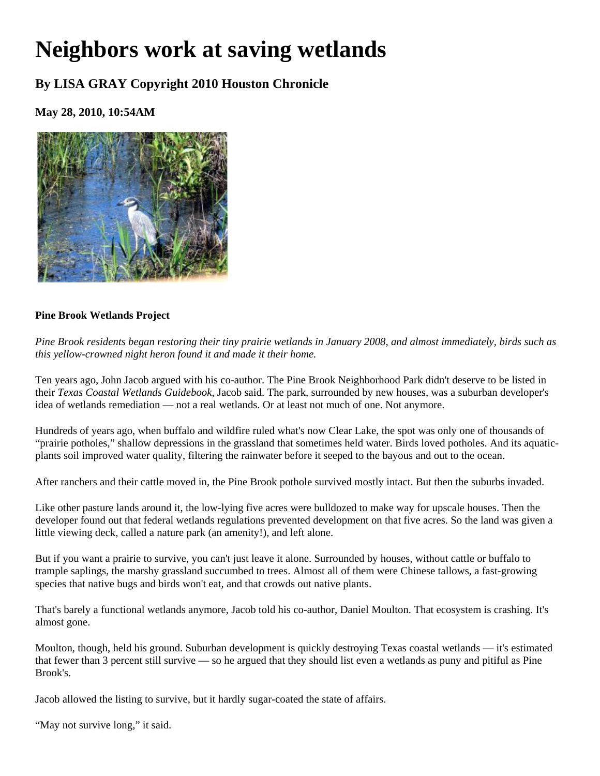# **Neighbors work at saving wetlands**

# **By LISA GRAY Copyright 2010 Houston Chronicle**

## **May 28, 2010, 10:54AM**



## **Pine Brook Wetlands Project**

*Pine Brook residents began restoring their tiny prairie wetlands in January 2008, and almost immediately, birds such as this yellow-crowned night heron found it and made it their home.* 

Ten years ago, John Jacob argued with his co-author. The Pine Brook Neighborhood Park didn't deserve to be listed in their *Texas Coastal Wetlands Guidebook*, Jacob said. The park, surrounded by new houses, was a suburban developer's idea of wetlands remediation — not a real wetlands. Or at least not much of one. Not anymore.

Hundreds of years ago, when buffalo and wildfire ruled what's now Clear Lake, the spot was only one of thousands of "prairie potholes," shallow depressions in the grassland that sometimes held water. Birds loved potholes. And its aquaticplants soil improved water quality, filtering the rainwater before it seeped to the bayous and out to the ocean.

After ranchers and their cattle moved in, the Pine Brook pothole survived mostly intact. But then the suburbs invaded.

Like other pasture lands around it, the low-lying five acres were bulldozed to make way for upscale houses. Then the developer found out that federal wetlands regulations prevented development on that five acres. So the land was given a little viewing deck, called a nature park (an amenity!), and left alone.

But if you want a prairie to survive, you can't just leave it alone. Surrounded by houses, without cattle or buffalo to trample saplings, the marshy grassland succumbed to trees. Almost all of them were Chinese tallows, a fast-growing species that native bugs and birds won't eat, and that crowds out native plants.

That's barely a functional wetlands anymore, Jacob told his co-author, Daniel Moulton. That ecosystem is crashing. It's almost gone.

Moulton, though, held his ground. Suburban development is quickly destroying Texas coastal wetlands — it's estimated that fewer than 3 percent still survive — so he argued that they should list even a wetlands as puny and pitiful as Pine Brook's.

Jacob allowed the listing to survive, but it hardly sugar-coated the state of affairs.

"May not survive long," it said.